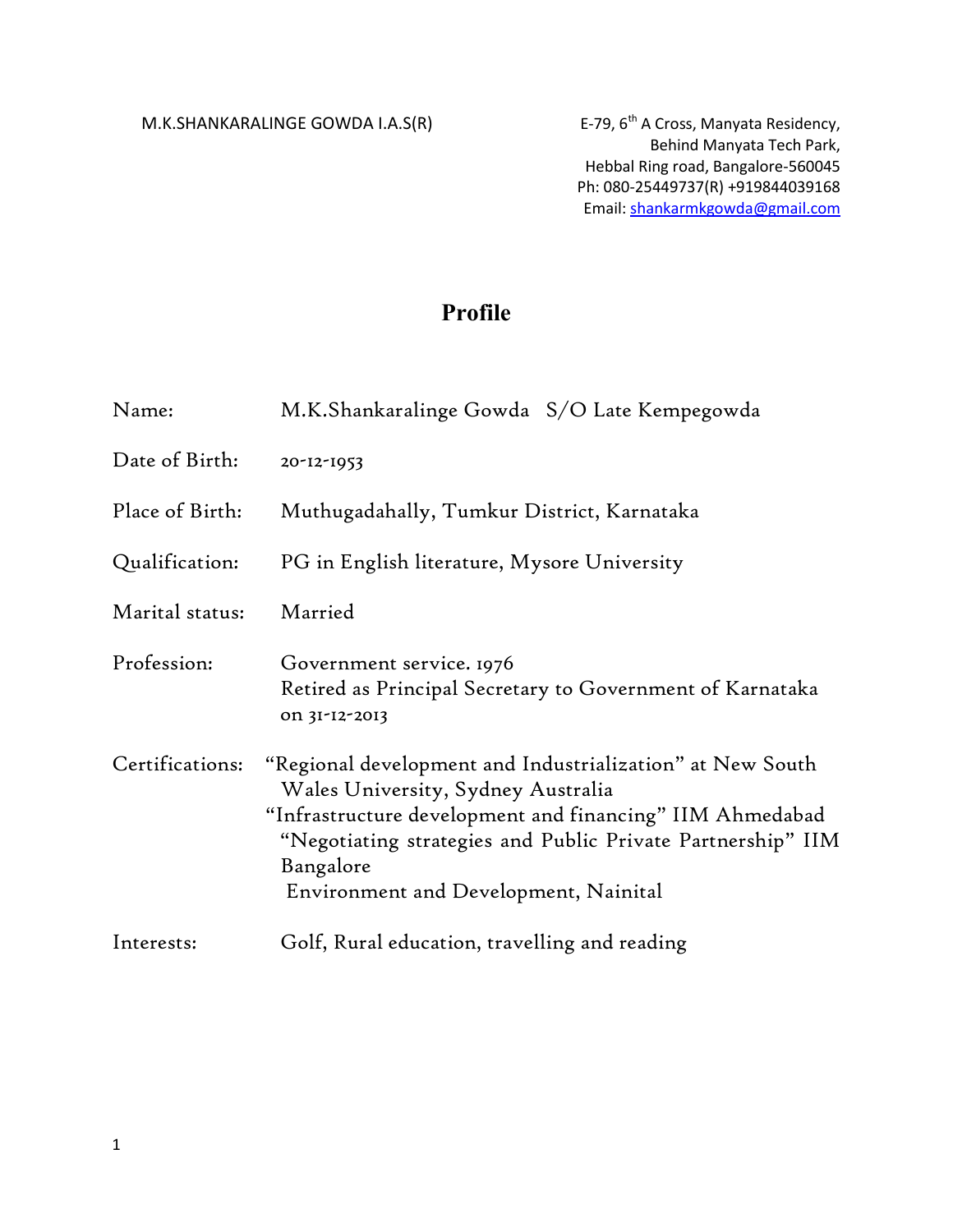M.K.SHANKARALINGE GOWDA I.A.S(R) E-79,  $6<sup>th</sup>$  A Cross, Manyata Residency,

## **Profile**

| Name:           | M.K.Shankaralinge Gowda S/O Late Kempegowda                                                                                                                                                                                                                                      |
|-----------------|----------------------------------------------------------------------------------------------------------------------------------------------------------------------------------------------------------------------------------------------------------------------------------|
| Date of Birth:  | 20-12-1953                                                                                                                                                                                                                                                                       |
| Place of Birth: | Muthugadahally, Tumkur District, Karnataka                                                                                                                                                                                                                                       |
| Qualification:  | PG in English literature, Mysore University                                                                                                                                                                                                                                      |
| Marital status: | Married                                                                                                                                                                                                                                                                          |
| Profession:     | Government service. 1976<br>Retired as Principal Secretary to Government of Karnataka<br>on 31-12-2013                                                                                                                                                                           |
| Certifications: | "Regional development and Industrialization" at New South<br>Wales University, Sydney Australia<br>"Infrastructure development and financing" IIM Ahmedabad<br>"Negotiating strategies and Public Private Partnership" IIM<br>Bangalore<br>Environment and Development, Nainital |
| Interests:      | Golf, Rural education, travelling and reading                                                                                                                                                                                                                                    |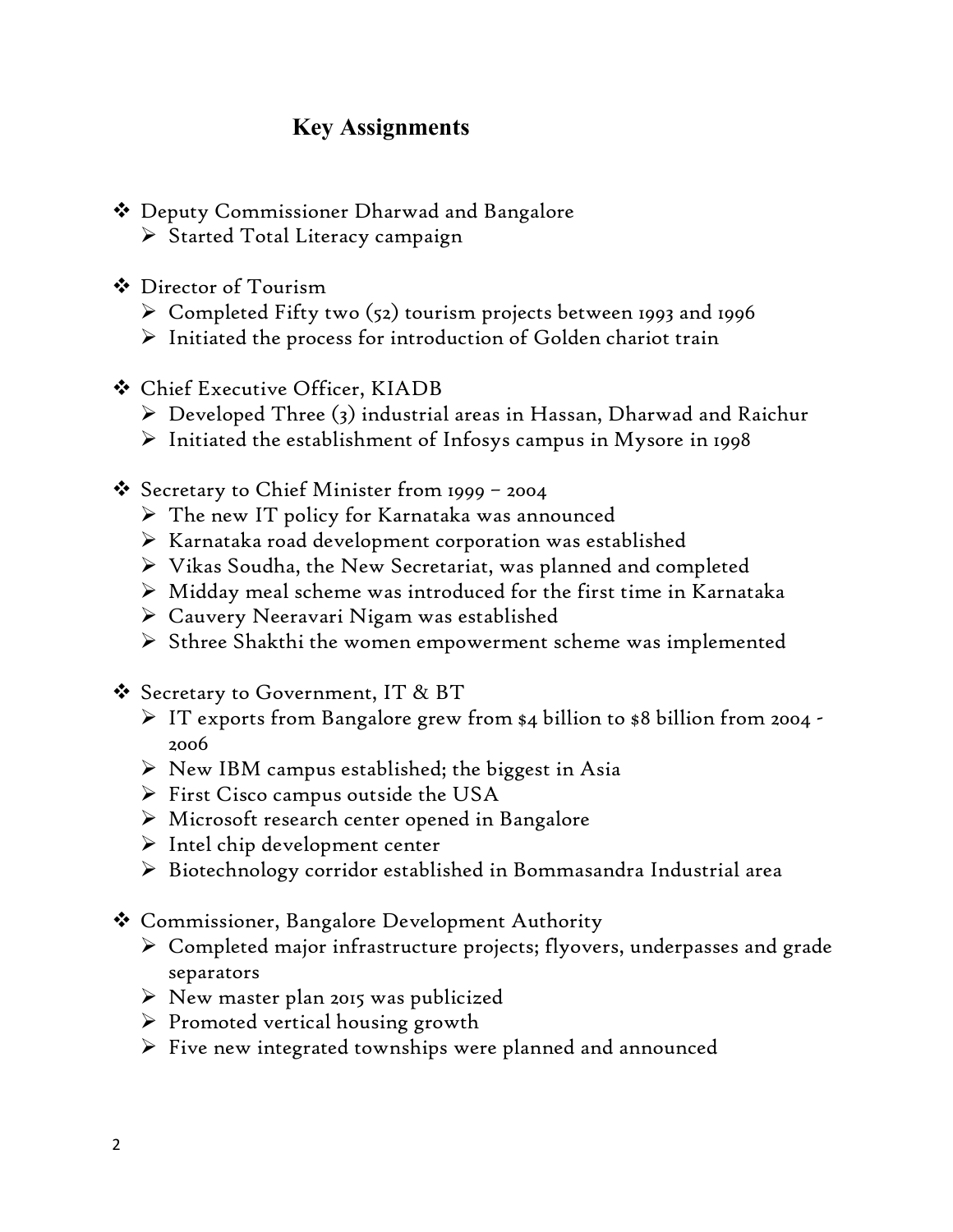## **Key Assignments**

- Deputy Commissioner Dharwad and Bangalore
	- $\triangleright$  Started Total Literacy campaign
- Director of Tourism
	- $\triangleright$  Completed Fifty two (52) tourism projects between 1993 and 1996
	- $\triangleright$  Initiated the process for introduction of Golden chariot train
- Chief Executive Officer, KIADB
	- $\triangleright$  Developed Three (3) industrial areas in Hassan, Dharwad and Raichur
	- $\triangleright$  Initiated the establishment of Infosys campus in Mysore in 1998
- $\clubsuit$  Secretary to Chief Minister from 1999 2004
	- $\triangleright$  The new IT policy for Karnataka was announced
	- $\triangleright$  Karnataka road development corporation was established
	- Vikas Soudha, the New Secretariat, was planned and completed
	- $\triangleright$  Midday meal scheme was introduced for the first time in Karnataka
	- Cauvery Neeravari Nigam was established
	- $\triangleright$  Sthree Shakthi the women empowerment scheme was implemented
- $\mathbf{\hat{P}}$  Secretary to Government, IT & BT
	- $\triangleright$  IT exports from Bangalore grew from \$4 billion to \$8 billion from 2004 -2006
	- $\triangleright$  New IBM campus established; the biggest in Asia
	- $\triangleright$  First Cisco campus outside the USA
	- Microsoft research center opened in Bangalore
	- $\triangleright$  Intel chip development center
	- Biotechnology corridor established in Bommasandra Industrial area
- Commissioner, Bangalore Development Authority
	- Completed major infrastructure projects; flyovers, underpasses and grade separators
	- $\triangleright$  New master plan 2015 was publicized
	- $\triangleright$  Promoted vertical housing growth
	- $\triangleright$  Five new integrated townships were planned and announced